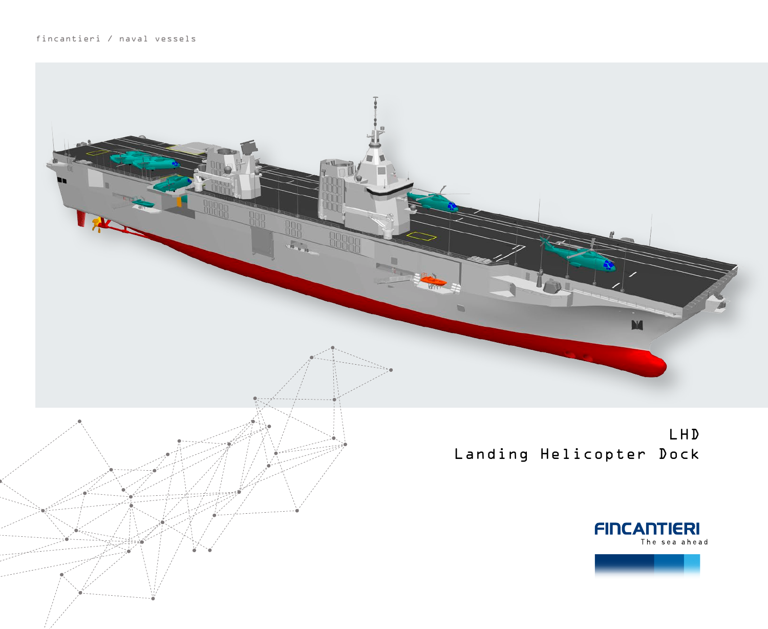